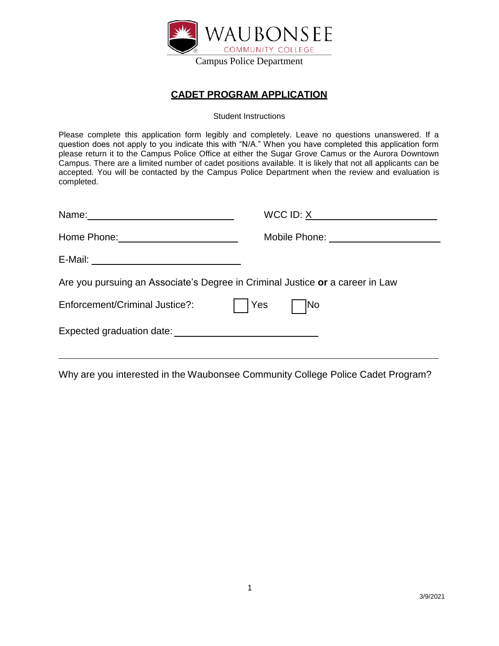

## **CADET PROGRAM APPLICATION**

Student Instructions

Please complete this application form legibly and completely. Leave no questions unanswered. If a question does not apply to you indicate this with "N/A." When you have completed this application form please return it to the Campus Police Office at either the Sugar Grove Camus or the Aurora Downtown Campus. There are a limited number of cadet positions available. It is likely that not all applicants can be accepted. You will be contacted by the Campus Police Department when the review and evaluation is completed.

|                                                                               | Mobile Phone: _____________________ |
|-------------------------------------------------------------------------------|-------------------------------------|
|                                                                               |                                     |
| Are you pursuing an Associate's Degree in Criminal Justice or a career in Law |                                     |
| Enforcement/Criminal Justice?:                                                | <b>Yes</b><br> No                   |
|                                                                               |                                     |
|                                                                               |                                     |

Why are you interested in the Waubonsee Community College Police Cadet Program?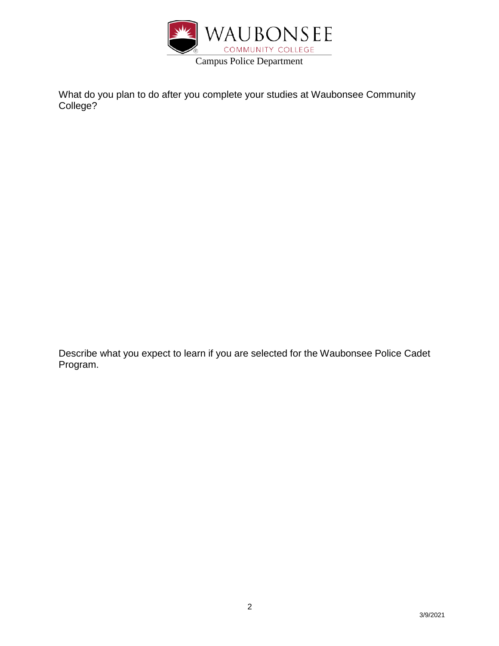

What do you plan to do after you complete your studies at Waubonsee Community College?

Describe what you expect to learn if you are selected for the Waubonsee Police Cadet Program.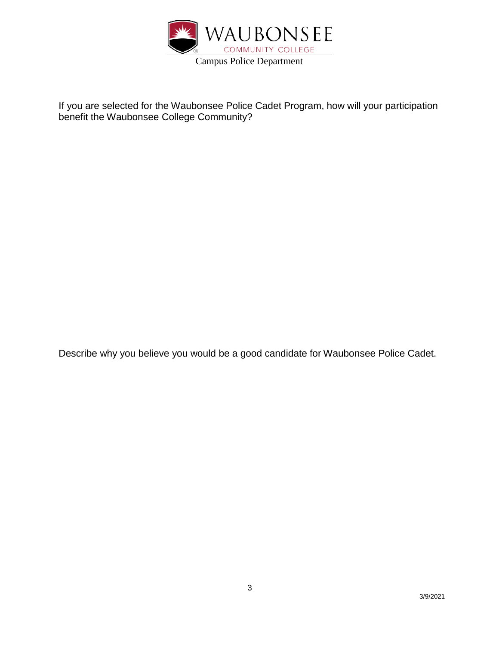

If you are selected for the Waubonsee Police Cadet Program, how will your participation benefit the Waubonsee College Community?

Describe why you believe you would be a good candidate for Waubonsee Police Cadet.